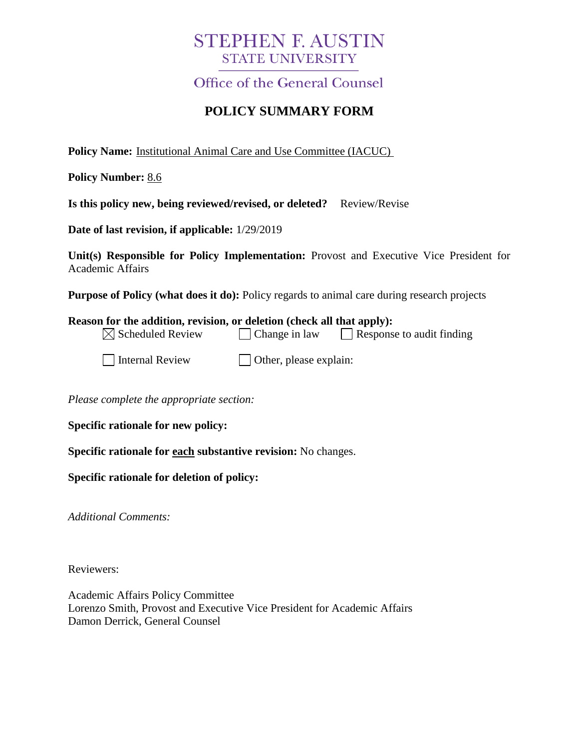## **STEPHEN F. AUSTIN STATE UNIVERSITY**

**Office of the General Counsel** 

## **POLICY SUMMARY FORM**

**Policy Name:** Institutional Animal Care and Use Committee (IACUC)

**Policy Number:** 8.6

**Is this policy new, being reviewed/revised, or deleted?** Review/Revise

**Date of last revision, if applicable:** 1/29/2019

**Unit(s) Responsible for Policy Implementation:** Provost and Executive Vice President for Academic Affairs

**Purpose of Policy (what does it do):** Policy regards to animal care during research projects

| Reason for the addition, revision, or deletion (check all that apply): |                               |                           |
|------------------------------------------------------------------------|-------------------------------|---------------------------|
| $\boxtimes$ Scheduled Review                                           | Change in law                 | Response to audit finding |
| Internal Review                                                        | $\Box$ Other, please explain: |                           |

*Please complete the appropriate section:*

**Specific rationale for new policy:**

**Specific rationale for each substantive revision:** No changes.

**Specific rationale for deletion of policy:**

*Additional Comments:*

Reviewers:

Academic Affairs Policy Committee Lorenzo Smith, Provost and Executive Vice President for Academic Affairs Damon Derrick, General Counsel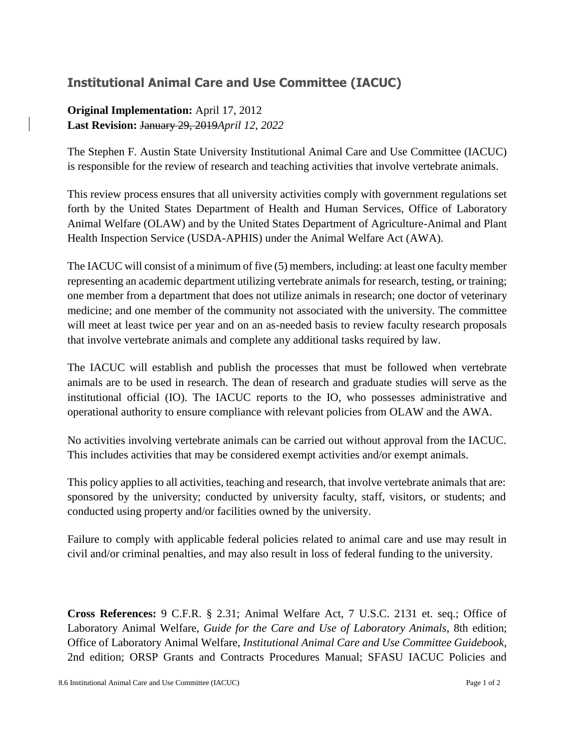## **Institutional Animal Care and Use Committee (IACUC)**

**Original Implementation:** April 17, 2012 **Last Revision:** January 29, 2019*April 12, 2022*

The Stephen F. Austin State University Institutional Animal Care and Use Committee (IACUC) is responsible for the review of research and teaching activities that involve vertebrate animals.

This review process ensures that all university activities comply with government regulations set forth by the United States Department of Health and Human Services, Office of Laboratory Animal Welfare (OLAW) and by the United States Department of Agriculture-Animal and Plant Health Inspection Service (USDA-APHIS) under the Animal Welfare Act (AWA).

The IACUC will consist of a minimum of five (5) members, including: at least one faculty member representing an academic department utilizing vertebrate animals for research, testing, or training; one member from a department that does not utilize animals in research; one doctor of veterinary medicine; and one member of the community not associated with the university. The committee will meet at least twice per year and on an as-needed basis to review faculty research proposals that involve vertebrate animals and complete any additional tasks required by law.

The IACUC will establish and publish the processes that must be followed when vertebrate animals are to be used in research. The dean of research and graduate studies will serve as the institutional official (IO). The IACUC reports to the IO, who possesses administrative and operational authority to ensure compliance with relevant policies from OLAW and the AWA.

No activities involving vertebrate animals can be carried out without approval from the IACUC. This includes activities that may be considered exempt activities and/or exempt animals.

This policy applies to all activities, teaching and research, that involve vertebrate animals that are: sponsored by the university; conducted by university faculty, staff, visitors, or students; and conducted using property and/or facilities owned by the university.

Failure to comply with applicable federal policies related to animal care and use may result in civil and/or criminal penalties, and may also result in loss of federal funding to the university.

**Cross References:** 9 C.F.R. § 2.31; Animal Welfare Act, 7 U.S.C. 2131 et. seq.; Office of Laboratory Animal Welfare, *Guide for the Care and Use of Laboratory Animals*, 8th edition; Office of Laboratory Animal Welfare, *Institutional Animal Care and Use Committee Guidebook*, 2nd edition; ORSP Grants and Contracts Procedures Manual; SFASU IACUC Policies and